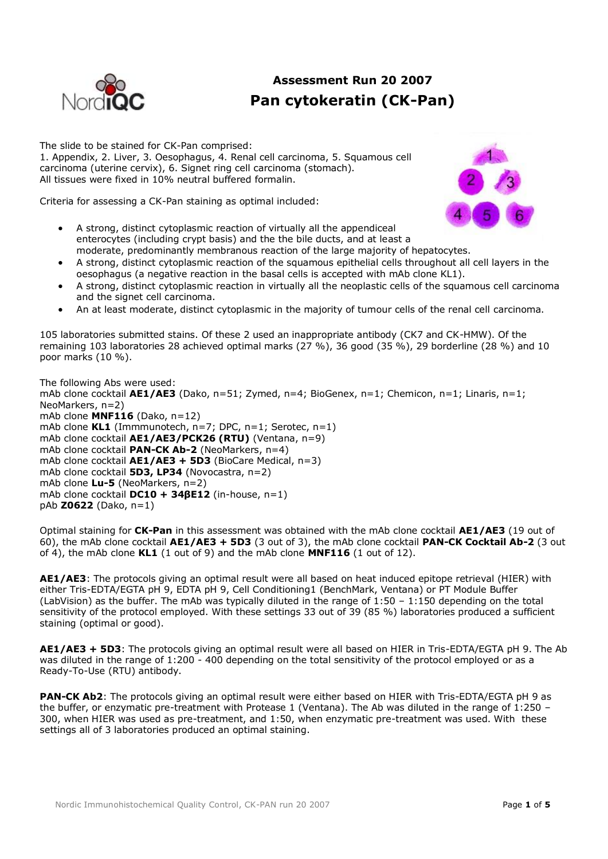

# **Assessment Run 20 2007 Pan cytokeratin (CK-Pan)**

The slide to be stained for CK-Pan comprised:

1. Appendix, 2. Liver, 3. Oesophagus, 4. Renal cell carcinoma, 5. Squamous cell carcinoma (uterine cervix), 6. Signet ring cell carcinoma (stomach). All tissues were fixed in 10% neutral buffered formalin.

Criteria for assessing a CK-Pan staining as optimal included:



- A strong, distinct cytoplasmic reaction of virtually all the appendiceal enterocytes (including crypt basis) and the the bile ducts, and at least a moderate, predominantly membranous reaction of the large majority of hepatocytes.
- A strong, distinct cytoplasmic reaction of the squamous epithelial cells throughout all cell layers in the oesophagus (a negative reaction in the basal cells is accepted with mAb clone KL1).
- A strong, distinct cytoplasmic reaction in virtually all the neoplastic cells of the squamous cell carcinoma and the signet cell carcinoma.
- An at least moderate, distinct cytoplasmic in the majority of tumour cells of the renal cell carcinoma.

105 laboratories submitted stains. Of these 2 used an inappropriate antibody (CK7 and CK-HMW). Of the remaining 103 laboratories 28 achieved optimal marks (27 %), 36 good (35 %), 29 borderline (28 %) and 10 poor marks (10 %).

The following Abs were used: mAb clone cocktail **AE1/AE3** (Dako, n=51; Zymed, n=4; BioGenex, n=1; Chemicon, n=1; Linaris, n=1; NeoMarkers, n=2) mAb clone **MNF116** (Dako, n=12) mAb clone **KL1** (Immmunotech, n=7; DPC, n=1; Serotec, n=1) mAb clone cocktail **AE1/AE3/PCK26 (RTU)** (Ventana, n=9) mAb clone cocktail **PAN-CK Ab-2** (NeoMarkers, n=4) mAb clone cocktail **AE1/AE3 + 5D3** (BioCare Medical, n=3) mAb clone cocktail **5D3, LP34** (Novocastra, n=2) mAb clone **Lu-5** (NeoMarkers, n=2) mAb clone cocktail **DC10 + 34βE12** (in-house, n=1) pAb **Z0622** (Dako, n=1)

Optimal staining for **CK-Pan** in this assessment was obtained with the mAb clone cocktail **AE1/AE3** (19 out of 60), the mAb clone cocktail **AE1/AE3 + 5D3** (3 out of 3), the mAb clone cocktail **PAN-CK Cocktail Ab-2** (3 out of 4), the mAb clone **KL1** (1 out of 9) and the mAb clone **MNF116** (1 out of 12).

**AE1/AE3**: The protocols giving an optimal result were all based on heat induced epitope retrieval (HIER) with either Tris-EDTA/EGTA pH 9, EDTA pH 9, Cell Conditioning1 (BenchMark, Ventana) or PT Module Buffer (LabVision) as the buffer. The mAb was typically diluted in the range of  $1:50 - 1:150$  depending on the total sensitivity of the protocol employed. With these settings 33 out of 39 (85 %) laboratories produced a sufficient staining (optimal or good).

**AE1/AE3 + 5D3**: The protocols giving an optimal result were all based on HIER in Tris-EDTA/EGTA pH 9. The Ab was diluted in the range of 1:200 - 400 depending on the total sensitivity of the protocol employed or as a Ready-To-Use (RTU) antibody.

**PAN-CK Ab2**: The protocols giving an optimal result were either based on HIER with Tris-EDTA/EGTA pH 9 as the buffer, or enzymatic pre-treatment with Protease 1 (Ventana). The Ab was diluted in the range of 1:250 – 300, when HIER was used as pre-treatment, and 1:50, when enzymatic pre-treatment was used. With these settings all of 3 laboratories produced an optimal staining.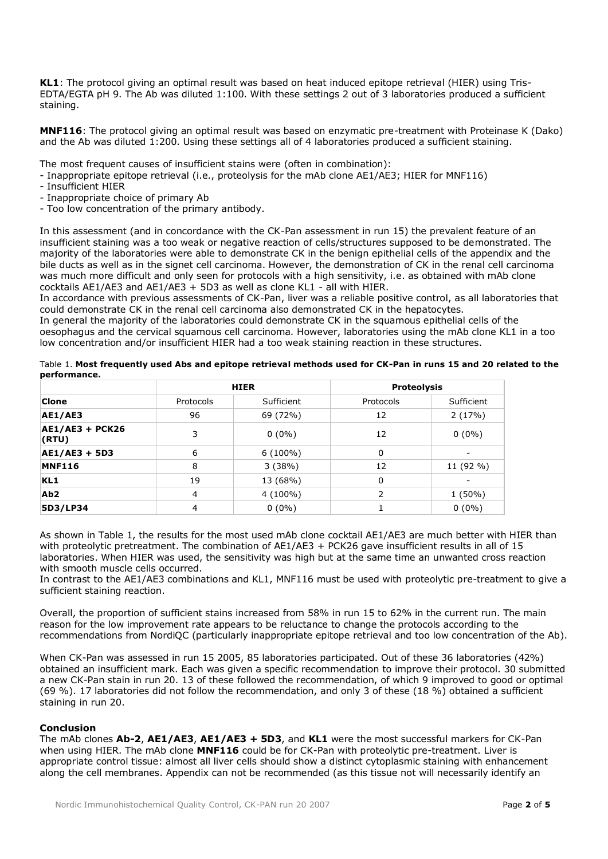**KL1**: The protocol giving an optimal result was based on heat induced epitope retrieval (HIER) using Tris-EDTA/EGTA pH 9. The Ab was diluted 1:100. With these settings 2 out of 3 laboratories produced a sufficient staining.

**MNF116**: The protocol giving an optimal result was based on enzymatic pre-treatment with Proteinase K (Dako) and the Ab was diluted 1:200. Using these settings all of 4 laboratories produced a sufficient staining.

The most frequent causes of insufficient stains were (often in combination):

- Inappropriate epitope retrieval (i.e., proteolysis for the mAb clone AE1/AE3; HIER for MNF116)
- Insufficient HIER
- Inappropriate choice of primary Ab
- Too low concentration of the primary antibody.

In this assessment (and in concordance with the CK-Pan assessment in run 15) the prevalent feature of an insufficient staining was a too weak or negative reaction of cells/structures supposed to be demonstrated. The majority of the laboratories were able to demonstrate CK in the benign epithelial cells of the appendix and the bile ducts as well as in the signet cell carcinoma. However, the demonstration of CK in the renal cell carcinoma was much more difficult and only seen for protocols with a high sensitivity, i.e. as obtained with mAb clone cocktails AE1/AE3 and AE1/AE3 + 5D3 as well as clone KL1 - all with HIER.

In accordance with previous assessments of CK-Pan, liver was a reliable positive control, as all laboratories that could demonstrate CK in the renal cell carcinoma also demonstrated CK in the hepatocytes.

In general the majority of the laboratories could demonstrate CK in the squamous epithelial cells of the oesophagus and the cervical squamous cell carcinoma. However, laboratories using the mAb clone KL1 in a too low concentration and/or insufficient HIER had a too weak staining reaction in these structures.

| <b>Clone</b>                    | <b>HIER</b>    |            | <b>Proteolysis</b> |            |
|---------------------------------|----------------|------------|--------------------|------------|
|                                 | Protocols      | Sufficient | Protocols          | Sufficient |
| <b>AE1/AE3</b>                  | 96             | 69 (72%)   | 12                 | 2(17%)     |
| <b>AE1/AE3 + PCK26</b><br>(RTU) | 3              | $0(0\%)$   | 12                 | $0(0\%)$   |
| AE1/AE3 + 5D3                   | 6              | $6(100\%)$ | 0                  |            |
| <b>MNF116</b>                   | 8              | 3(38%)     | 12                 | 11 (92 %)  |
| KL <sub>1</sub>                 | 19             | 13 (68%)   | $\Omega$           |            |
| Ab <sub>2</sub>                 | $\overline{4}$ | $4(100\%)$ | 2                  | $1(50\%)$  |
| 5D3/LP34                        | 4              | $0(0\%)$   |                    | $0(0\%)$   |

Table 1. **Most frequently used Abs and epitope retrieval methods used for CK-Pan in runs 15 and 20 related to the performance.**

As shown in Table 1, the results for the most used mAb clone cocktail AE1/AE3 are much better with HIER than with proteolytic pretreatment. The combination of AE1/AE3 + PCK26 gave insufficient results in all of 15 laboratories. When HIER was used, the sensitivity was high but at the same time an unwanted cross reaction with smooth muscle cells occurred.

In contrast to the AE1/AE3 combinations and KL1, MNF116 must be used with proteolytic pre-treatment to give a sufficient staining reaction.

Overall, the proportion of sufficient stains increased from 58% in run 15 to 62% in the current run. The main reason for the low improvement rate appears to be reluctance to change the protocols according to the recommendations from NordiQC (particularly inappropriate epitope retrieval and too low concentration of the Ab).

When CK-Pan was assessed in run 15 2005, 85 laboratories participated. Out of these 36 laboratories (42%) obtained an insufficient mark. Each was given a specific recommendation to improve their protocol. 30 submitted a new CK-Pan stain in run 20. 13 of these followed the recommendation, of which 9 improved to good or optimal (69 %). 17 laboratories did not follow the recommendation, and only 3 of these (18 %) obtained a sufficient staining in run 20.

# **Conclusion**

The mAb clones **Ab-2**, **AE1/AE3**, **AE1/AE3 + 5D3**, and **KL1** were the most successful markers for CK-Pan when using HIER. The mAb clone **MNF116** could be for CK-Pan with proteolytic pre-treatment. Liver is appropriate control tissue: almost all liver cells should show a distinct cytoplasmic staining with enhancement along the cell membranes. Appendix can not be recommended (as this tissue not will necessarily identify an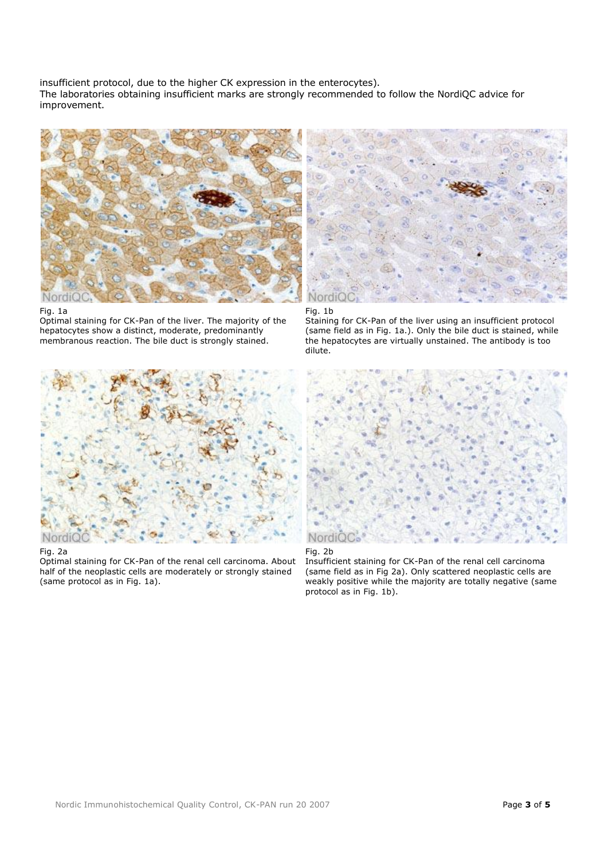insufficient protocol, due to the higher CK expression in the enterocytes). The laboratories obtaining insufficient marks are strongly recommended to follow the NordiQC advice for improvement.



### Fig. 1a

Optimal staining for CK-Pan of the liver. The majority of the hepatocytes show a distinct, moderate, predominantly membranous reaction. The bile duct is strongly stained.



### Fig. 2a

Optimal staining for CK-Pan of the renal cell carcinoma. About half of the neoplastic cells are moderately or strongly stained (same protocol as in Fig. 1a).





Staining for CK-Pan of the liver using an insufficient protocol (same field as in Fig. 1a.). Only the bile duct is stained, while the hepatocytes are virtually unstained. The antibody is too dilute.





Insufficient staining for CK-Pan of the renal cell carcinoma (same field as in Fig 2a). Only scattered neoplastic cells are weakly positive while the majority are totally negative (same protocol as in Fig. 1b).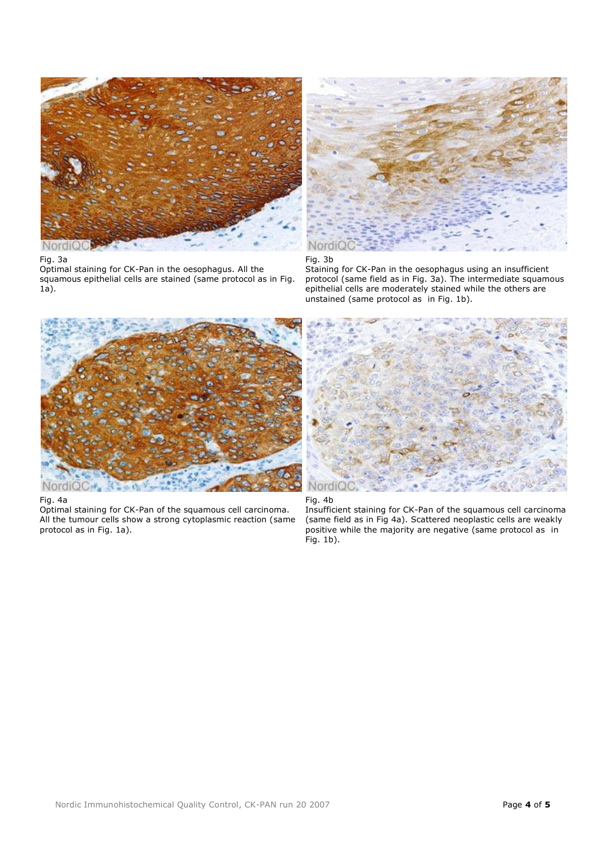

# Fig. 3a

Optimal staining for CK-Pan in the oesophagus. All the squamous epithelial cells are stained (same protocol as in Fig. 1a).



Fig. 3b

Staining for CK-Pan in the oesophagus using an insufficient protocol (same field as in Fig. 3a). The intermediate squamous epithelial cells are moderately stained while the others are unstained (same protocol as in Fig. 1b).



# Fig. 4a

Optimal staining for CK-Pan of the squamous cell carcinoma. All the tumour cells show a strong cytoplasmic reaction (same protocol as in Fig. 1a).





Insufficient staining for CK-Pan of the squamous cell carcinoma (same field as in Fig 4a). Scattered neoplastic cells are weakly positive while the majority are negative (same protocol as in Fig. 1b).